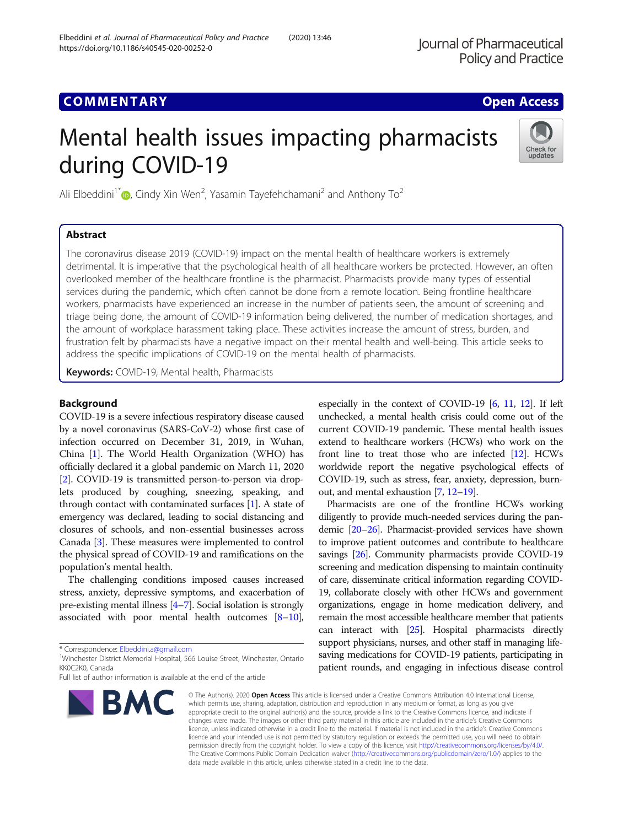# **COMMENTARY COMMENTARY COMMENTARY**

# Mental health issues impacting pharmacists during COVID-19



Ali Elbeddini<sup>1\*</sup> $\bullet$ [,](http://orcid.org/0000-0002-3339-6203) Cindy Xin Wen<sup>2</sup>, Yasamin Tayefehchamani<sup>2</sup> and Anthony To<sup>2</sup>

# Abstract

The coronavirus disease 2019 (COVID-19) impact on the mental health of healthcare workers is extremely detrimental. It is imperative that the psychological health of all healthcare workers be protected. However, an often overlooked member of the healthcare frontline is the pharmacist. Pharmacists provide many types of essential services during the pandemic, which often cannot be done from a remote location. Being frontline healthcare workers, pharmacists have experienced an increase in the number of patients seen, the amount of screening and triage being done, the amount of COVID-19 information being delivered, the number of medication shortages, and the amount of workplace harassment taking place. These activities increase the amount of stress, burden, and frustration felt by pharmacists have a negative impact on their mental health and well-being. This article seeks to address the specific implications of COVID-19 on the mental health of pharmacists.

Keywords: COVID-19, Mental health, Pharmacists

## Background

COVID-19 is a severe infectious respiratory disease caused by a novel coronavirus (SARS-CoV-2) whose first case of infection occurred on December 31, 2019, in Wuhan, China [\[1\]](#page-4-0). The World Health Organization (WHO) has officially declared it a global pandemic on March 11, 2020 [[2\]](#page-4-0). COVID-19 is transmitted person-to-person via droplets produced by coughing, sneezing, speaking, and through contact with contaminated surfaces [\[1\]](#page-4-0). A state of emergency was declared, leading to social distancing and closures of schools, and non-essential businesses across Canada [[3\]](#page-4-0). These measures were implemented to control the physical spread of COVID-19 and ramifications on the population's mental health.

The challenging conditions imposed causes increased stress, anxiety, depressive symptoms, and exacerbation of pre-existing mental illness [\[4](#page-4-0)–[7\]](#page-4-0). Social isolation is strongly associated with poor mental health outcomes  $[8-10]$  $[8-10]$  $[8-10]$  $[8-10]$ ,

Full list of author information is available at the end of the article



especially in the context of COVID-19 [[6,](#page-4-0) [11](#page-4-0), [12\]](#page-4-0). If left unchecked, a mental health crisis could come out of the current COVID-19 pandemic. These mental health issues extend to healthcare workers (HCWs) who work on the front line to treat those who are infected [\[12\]](#page-4-0). HCWs worldwide report the negative psychological effects of COVID-19, such as stress, fear, anxiety, depression, burnout, and mental exhaustion [\[7,](#page-4-0) [12](#page-4-0)–[19](#page-4-0)].

Pharmacists are one of the frontline HCWs working diligently to provide much-needed services during the pandemic [\[20](#page-4-0)–[26\]](#page-5-0). Pharmacist-provided services have shown to improve patient outcomes and contribute to healthcare savings [\[26](#page-5-0)]. Community pharmacists provide COVID-19 screening and medication dispensing to maintain continuity of care, disseminate critical information regarding COVID-19, collaborate closely with other HCWs and government organizations, engage in home medication delivery, and remain the most accessible healthcare member that patients can interact with [[25](#page-4-0)]. Hospital pharmacists directly support physicians, nurses, and other staff in managing lifesaving medications for COVID-19 patients, participating in patient rounds, and engaging in infectious disease control

© The Author(s), 2020 **Open Access** This article is licensed under a Creative Commons Attribution 4.0 International License, which permits use, sharing, adaptation, distribution and reproduction in any medium or format, as long as you give appropriate credit to the original author(s) and the source, provide a link to the Creative Commons licence, and indicate if changes were made. The images or other third party material in this article are included in the article's Creative Commons licence, unless indicated otherwise in a credit line to the material. If material is not included in the article's Creative Commons licence and your intended use is not permitted by statutory regulation or exceeds the permitted use, you will need to obtain permission directly from the copyright holder. To view a copy of this licence, visit [http://creativecommons.org/licenses/by/4.0/.](http://creativecommons.org/licenses/by/4.0/) The Creative Commons Public Domain Dedication waiver [\(http://creativecommons.org/publicdomain/zero/1.0/](http://creativecommons.org/publicdomain/zero/1.0/)) applies to the data made available in this article, unless otherwise stated in a credit line to the data.

<sup>\*</sup> Correspondence: [Elbeddini.a@gmail.com](mailto:Elbeddini.a@gmail.com) <sup>1</sup>

<sup>&</sup>lt;sup>1</sup>Winchester District Memorial Hospital, 566 Louise Street, Winchester, Ontario KK0C2K0, Canada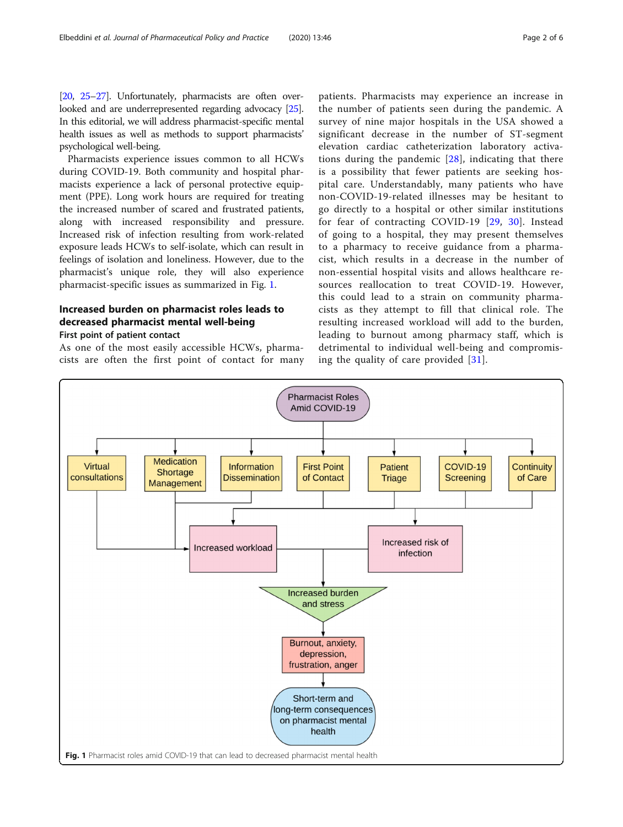[[20](#page-4-0), [25](#page-4-0)–[27](#page-5-0)]. Unfortunately, pharmacists are often overlooked and are underrepresented regarding advocacy [\[25](#page-4-0)]. In this editorial, we will address pharmacist-specific mental health issues as well as methods to support pharmacists' psychological well-being.

Pharmacists experience issues common to all HCWs during COVID-19. Both community and hospital pharmacists experience a lack of personal protective equipment (PPE). Long work hours are required for treating the increased number of scared and frustrated patients, along with increased responsibility and pressure. Increased risk of infection resulting from work-related exposure leads HCWs to self-isolate, which can result in feelings of isolation and loneliness. However, due to the pharmacist's unique role, they will also experience pharmacist-specific issues as summarized in Fig. 1.

# Increased burden on pharmacist roles leads to decreased pharmacist mental well-being First point of patient contact

As one of the most easily accessible HCWs, pharmacists are often the first point of contact for many patients. Pharmacists may experience an increase in the number of patients seen during the pandemic. A survey of nine major hospitals in the USA showed a significant decrease in the number of ST-segment elevation cardiac catheterization laboratory activations during the pandemic [[28](#page-5-0)], indicating that there is a possibility that fewer patients are seeking hospital care. Understandably, many patients who have non-COVID-19-related illnesses may be hesitant to go directly to a hospital or other similar institutions for fear of contracting COVID-19 [[29](#page-5-0), [30](#page-5-0)]. Instead of going to a hospital, they may present themselves to a pharmacy to receive guidance from a pharmacist, which results in a decrease in the number of non-essential hospital visits and allows healthcare resources reallocation to treat COVID-19. However, this could lead to a strain on community pharmacists as they attempt to fill that clinical role. The resulting increased workload will add to the burden, leading to burnout among pharmacy staff, which is detrimental to individual well-being and compromising the quality of care provided [[31\]](#page-5-0).

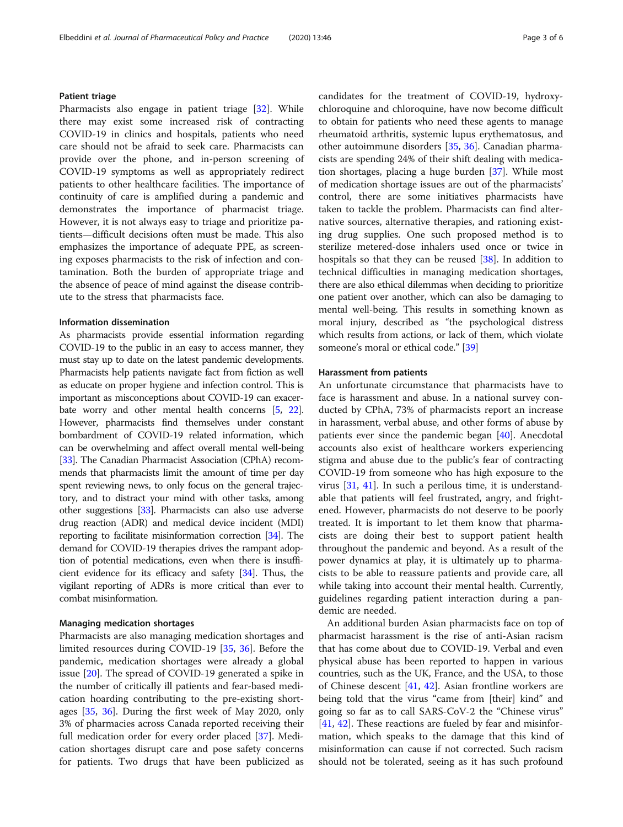#### Patient triage

Pharmacists also engage in patient triage [\[32\]](#page-5-0). While there may exist some increased risk of contracting COVID-19 in clinics and hospitals, patients who need care should not be afraid to seek care. Pharmacists can provide over the phone, and in-person screening of COVID-19 symptoms as well as appropriately redirect patients to other healthcare facilities. The importance of continuity of care is amplified during a pandemic and demonstrates the importance of pharmacist triage. However, it is not always easy to triage and prioritize patients—difficult decisions often must be made. This also emphasizes the importance of adequate PPE, as screening exposes pharmacists to the risk of infection and contamination. Both the burden of appropriate triage and the absence of peace of mind against the disease contribute to the stress that pharmacists face.

#### Information dissemination

As pharmacists provide essential information regarding COVID-19 to the public in an easy to access manner, they must stay up to date on the latest pandemic developments. Pharmacists help patients navigate fact from fiction as well as educate on proper hygiene and infection control. This is important as misconceptions about COVID-19 can exacerbate worry and other mental health concerns [\[5,](#page-4-0) [22](#page-4-0)]. However, pharmacists find themselves under constant bombardment of COVID-19 related information, which can be overwhelming and affect overall mental well-being [[33](#page-5-0)]. The Canadian Pharmacist Association (CPhA) recommends that pharmacists limit the amount of time per day spent reviewing news, to only focus on the general trajectory, and to distract your mind with other tasks, among other suggestions [[33\]](#page-5-0). Pharmacists can also use adverse drug reaction (ADR) and medical device incident (MDI) reporting to facilitate misinformation correction [\[34\]](#page-5-0). The demand for COVID-19 therapies drives the rampant adoption of potential medications, even when there is insufficient evidence for its efficacy and safety [[34](#page-5-0)]. Thus, the vigilant reporting of ADRs is more critical than ever to combat misinformation.

#### Managing medication shortages

Pharmacists are also managing medication shortages and limited resources during COVID-19 [\[35](#page-5-0), [36\]](#page-5-0). Before the pandemic, medication shortages were already a global issue [[20\]](#page-4-0). The spread of COVID-19 generated a spike in the number of critically ill patients and fear-based medication hoarding contributing to the pre-existing shortages [\[35](#page-5-0), [36](#page-5-0)]. During the first week of May 2020, only 3% of pharmacies across Canada reported receiving their full medication order for every order placed [[37\]](#page-5-0). Medication shortages disrupt care and pose safety concerns for patients. Two drugs that have been publicized as candidates for the treatment of COVID-19, hydroxychloroquine and chloroquine, have now become difficult to obtain for patients who need these agents to manage rheumatoid arthritis, systemic lupus erythematosus, and other autoimmune disorders [[35](#page-5-0), [36\]](#page-5-0). Canadian pharmacists are spending 24% of their shift dealing with medication shortages, placing a huge burden [[37](#page-5-0)]. While most of medication shortage issues are out of the pharmacists' control, there are some initiatives pharmacists have taken to tackle the problem. Pharmacists can find alternative sources, alternative therapies, and rationing existing drug supplies. One such proposed method is to sterilize metered-dose inhalers used once or twice in hospitals so that they can be reused [[38\]](#page-5-0). In addition to technical difficulties in managing medication shortages, there are also ethical dilemmas when deciding to prioritize one patient over another, which can also be damaging to mental well-being. This results in something known as moral injury, described as "the psychological distress which results from actions, or lack of them, which violate someone's moral or ethical code." [[39\]](#page-5-0)

#### Harassment from patients

An unfortunate circumstance that pharmacists have to face is harassment and abuse. In a national survey conducted by CPhA, 73% of pharmacists report an increase in harassment, verbal abuse, and other forms of abuse by patients ever since the pandemic began [[40\]](#page-5-0). Anecdotal accounts also exist of healthcare workers experiencing stigma and abuse due to the public's fear of contracting COVID-19 from someone who has high exposure to the virus [\[31](#page-5-0), [41\]](#page-5-0). In such a perilous time, it is understandable that patients will feel frustrated, angry, and frightened. However, pharmacists do not deserve to be poorly treated. It is important to let them know that pharmacists are doing their best to support patient health throughout the pandemic and beyond. As a result of the power dynamics at play, it is ultimately up to pharmacists to be able to reassure patients and provide care, all while taking into account their mental health. Currently, guidelines regarding patient interaction during a pandemic are needed.

An additional burden Asian pharmacists face on top of pharmacist harassment is the rise of anti-Asian racism that has come about due to COVID-19. Verbal and even physical abuse has been reported to happen in various countries, such as the UK, France, and the USA, to those of Chinese descent [\[41,](#page-5-0) [42\]](#page-5-0). Asian frontline workers are being told that the virus "came from [their] kind" and going so far as to call SARS-CoV-2 the "Chinese virus" [[41,](#page-5-0) [42\]](#page-5-0). These reactions are fueled by fear and misinformation, which speaks to the damage that this kind of misinformation can cause if not corrected. Such racism should not be tolerated, seeing as it has such profound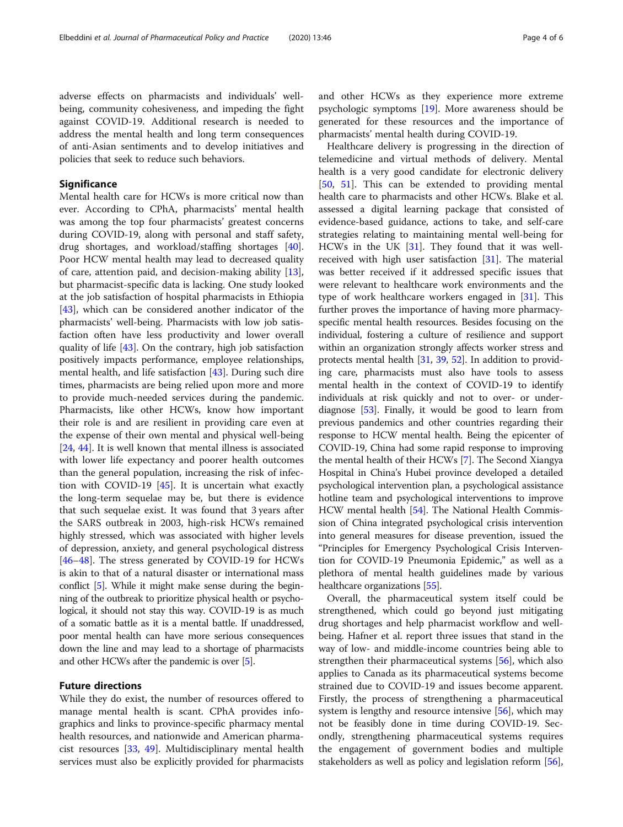adverse effects on pharmacists and individuals' wellbeing, community cohesiveness, and impeding the fight against COVID-19. Additional research is needed to address the mental health and long term consequences of anti-Asian sentiments and to develop initiatives and policies that seek to reduce such behaviors.

### **Significance**

Mental health care for HCWs is more critical now than ever. According to CPhA, pharmacists' mental health was among the top four pharmacists' greatest concerns during COVID-19, along with personal and staff safety, drug shortages, and workload/staffing shortages [\[40](#page-5-0)]. Poor HCW mental health may lead to decreased quality of care, attention paid, and decision-making ability [\[13](#page-4-0)], but pharmacist-specific data is lacking. One study looked at the job satisfaction of hospital pharmacists in Ethiopia [[43\]](#page-5-0), which can be considered another indicator of the pharmacists' well-being. Pharmacists with low job satisfaction often have less productivity and lower overall quality of life [\[43](#page-5-0)]. On the contrary, high job satisfaction positively impacts performance, employee relationships, mental health, and life satisfaction [\[43\]](#page-5-0). During such dire times, pharmacists are being relied upon more and more to provide much-needed services during the pandemic. Pharmacists, like other HCWs, know how important their role is and are resilient in providing care even at the expense of their own mental and physical well-being [[24,](#page-4-0) [44\]](#page-5-0). It is well known that mental illness is associated with lower life expectancy and poorer health outcomes than the general population, increasing the risk of infection with COVID-19 [[45\]](#page-5-0). It is uncertain what exactly the long-term sequelae may be, but there is evidence that such sequelae exist. It was found that 3 years after the SARS outbreak in 2003, high-risk HCWs remained highly stressed, which was associated with higher levels of depression, anxiety, and general psychological distress [[46](#page-5-0)–[48](#page-5-0)]. The stress generated by COVID-19 for HCWs is akin to that of a natural disaster or international mass conflict [[5](#page-4-0)]. While it might make sense during the beginning of the outbreak to prioritize physical health or psychological, it should not stay this way. COVID-19 is as much of a somatic battle as it is a mental battle. If unaddressed, poor mental health can have more serious consequences down the line and may lead to a shortage of pharmacists and other HCWs after the pandemic is over [\[5\]](#page-4-0).

#### Future directions

While they do exist, the number of resources offered to manage mental health is scant. CPhA provides infographics and links to province-specific pharmacy mental health resources, and nationwide and American pharmacist resources [[33,](#page-5-0) [49](#page-5-0)]. Multidisciplinary mental health services must also be explicitly provided for pharmacists and other HCWs as they experience more extreme psychologic symptoms [[19\]](#page-4-0). More awareness should be generated for these resources and the importance of pharmacists' mental health during COVID-19.

Healthcare delivery is progressing in the direction of telemedicine and virtual methods of delivery. Mental health is a very good candidate for electronic delivery [[50,](#page-5-0) [51\]](#page-5-0). This can be extended to providing mental health care to pharmacists and other HCWs. Blake et al. assessed a digital learning package that consisted of evidence-based guidance, actions to take, and self-care strategies relating to maintaining mental well-being for HCWs in the UK [\[31\]](#page-5-0). They found that it was wellreceived with high user satisfaction [\[31](#page-5-0)]. The material was better received if it addressed specific issues that were relevant to healthcare work environments and the type of work healthcare workers engaged in [[31\]](#page-5-0). This further proves the importance of having more pharmacyspecific mental health resources. Besides focusing on the individual, fostering a culture of resilience and support within an organization strongly affects worker stress and protects mental health [\[31,](#page-5-0) [39,](#page-5-0) [52\]](#page-5-0). In addition to providing care, pharmacists must also have tools to assess mental health in the context of COVID-19 to identify individuals at risk quickly and not to over- or underdiagnose [[53](#page-5-0)]. Finally, it would be good to learn from previous pandemics and other countries regarding their response to HCW mental health. Being the epicenter of COVID-19, China had some rapid response to improving the mental health of their HCWs [\[7](#page-4-0)]. The Second Xiangya Hospital in China's Hubei province developed a detailed psychological intervention plan, a psychological assistance hotline team and psychological interventions to improve HCW mental health [[54](#page-5-0)]. The National Health Commission of China integrated psychological crisis intervention into general measures for disease prevention, issued the "Principles for Emergency Psychological Crisis Intervention for COVID-19 Pneumonia Epidemic," as well as a plethora of mental health guidelines made by various healthcare organizations [[55](#page-5-0)].

Overall, the pharmaceutical system itself could be strengthened, which could go beyond just mitigating drug shortages and help pharmacist workflow and wellbeing. Hafner et al. report three issues that stand in the way of low- and middle-income countries being able to strengthen their pharmaceutical systems [[56\]](#page-5-0), which also applies to Canada as its pharmaceutical systems become strained due to COVID-19 and issues become apparent. Firstly, the process of strengthening a pharmaceutical system is lengthy and resource intensive [[56\]](#page-5-0), which may not be feasibly done in time during COVID-19. Secondly, strengthening pharmaceutical systems requires the engagement of government bodies and multiple stakeholders as well as policy and legislation reform [\[56](#page-5-0)],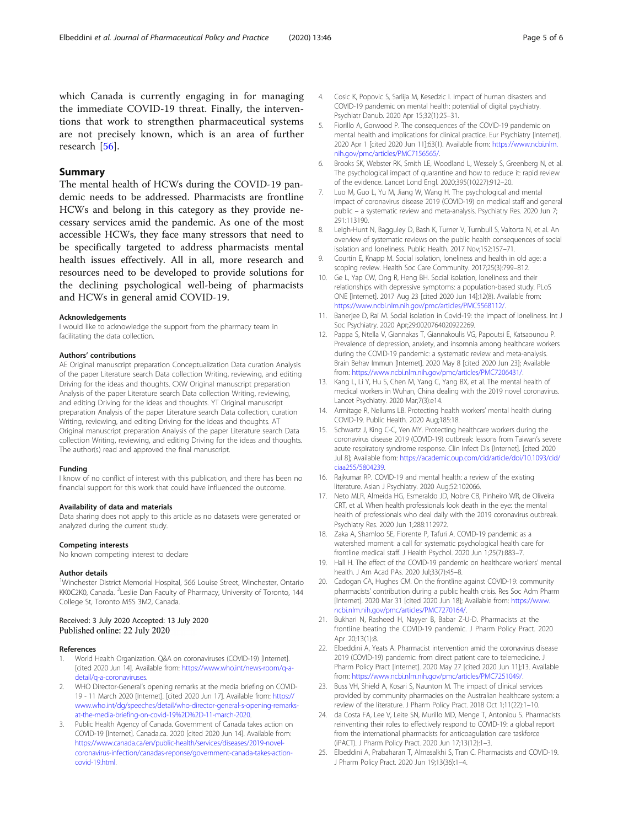<span id="page-4-0"></span>which Canada is currently engaging in for managing the immediate COVID-19 threat. Finally, the interventions that work to strengthen pharmaceutical systems are not precisely known, which is an area of further research [[56\]](#page-5-0).

#### Summary

The mental health of HCWs during the COVID-19 pandemic needs to be addressed. Pharmacists are frontline HCWs and belong in this category as they provide necessary services amid the pandemic. As one of the most accessible HCWs, they face many stressors that need to be specifically targeted to address pharmacists mental health issues effectively. All in all, more research and resources need to be developed to provide solutions for the declining psychological well-being of pharmacists and HCWs in general amid COVID-19.

#### Acknowledgements

I would like to acknowledge the support from the pharmacy team in facilitating the data collection.

#### Authors' contributions

AE Original manuscript preparation Conceptualization Data curation Analysis of the paper Literature search Data collection Writing, reviewing, and editing Driving for the ideas and thoughts. CXW Original manuscript preparation Analysis of the paper Literature search Data collection Writing, reviewing, and editing Driving for the ideas and thoughts. YT Original manuscript preparation Analysis of the paper Literature search Data collection, curation Writing, reviewing, and editing Driving for the ideas and thoughts. AT Original manuscript preparation Analysis of the paper Literature search Data collection Writing, reviewing, and editing Driving for the ideas and thoughts. The author(s) read and approved the final manuscript.

#### Funding

I know of no conflict of interest with this publication, and there has been no financial support for this work that could have influenced the outcome.

#### Availability of data and materials

Data sharing does not apply to this article as no datasets were generated or analyzed during the current study.

#### Competing interests

No known competing interest to declare

#### Author details

<sup>1</sup>Winchester District Memorial Hospital, 566 Louise Street, Winchester, Ontario KK0C2K0, Canada. <sup>2</sup>Leslie Dan Faculty of Pharmacy, University of Toronto, 144 College St, Toronto M5S 3M2, Canada.

#### Received: 3 July 2020 Accepted: 13 July 2020 Published online: 22 July 2020

#### References

- World Health Organization. Q&A on coronaviruses (COVID-19) [Internet]. [cited 2020 Jun 14]. Available from: [https://www.who.int/news-room/q-a](https://www.who.int/news-room/q-a-detail/q-a-coronaviruses)[detail/q-a-coronaviruses.](https://www.who.int/news-room/q-a-detail/q-a-coronaviruses)
- 2. WHO Director-General's opening remarks at the media briefing on COVID-19 - 11 March 2020 [Internet]. [cited 2020 Jun 17]. Available from: [https://](https://www.who.int/dg/speeches/detail/who-director-general-s-opening-remarks-at-the-media-briefing-on-covid-19%2D%2D-11-march-2020) [www.who.int/dg/speeches/detail/who-director-general-s-opening-remarks](https://www.who.int/dg/speeches/detail/who-director-general-s-opening-remarks-at-the-media-briefing-on-covid-19%2D%2D-11-march-2020)[at-the-media-briefing-on-covid-19%2D%2D-11-march-2020](https://www.who.int/dg/speeches/detail/who-director-general-s-opening-remarks-at-the-media-briefing-on-covid-19%2D%2D-11-march-2020).
- Public Health Agency of Canada. Government of Canada takes action on COVID-19 [Internet]. Canada.ca. 2020 [cited 2020 Jun 14]. Available from: [https://www.canada.ca/en/public-health/services/diseases/2019-novel](https://www.canada.ca/en/public-health/services/diseases/2019-novel-coronavirus-infection/canadas-reponse/government-canada-takes-action-covid-19.html)[coronavirus-infection/canadas-reponse/government-canada-takes-action](https://www.canada.ca/en/public-health/services/diseases/2019-novel-coronavirus-infection/canadas-reponse/government-canada-takes-action-covid-19.html)[covid-19.html](https://www.canada.ca/en/public-health/services/diseases/2019-novel-coronavirus-infection/canadas-reponse/government-canada-takes-action-covid-19.html).
- 4. Cosic K, Popovic S, Sarlija M, Kesedzic I. Impact of human disasters and COVID-19 pandemic on mental health: potential of digital psychiatry. Psychiatr Danub. 2020 Apr 15;32(1):25–31.
- 5. Fiorillo A, Gorwood P. The consequences of the COVID-19 pandemic on mental health and implications for clinical practice. Eur Psychiatry [Internet]. 2020 Apr 1 [cited 2020 Jun 11];63(1). Available from: [https://www.ncbi.nlm.](https://www.ncbi.nlm.nih.gov/pmc/articles/PMC7156565/) [nih.gov/pmc/articles/PMC7156565/.](https://www.ncbi.nlm.nih.gov/pmc/articles/PMC7156565/)
- 6. Brooks SK, Webster RK, Smith LE, Woodland L, Wessely S, Greenberg N, et al. The psychological impact of quarantine and how to reduce it: rapid review of the evidence. Lancet Lond Engl. 2020;395(10227):912–20.
- 7. Luo M, Guo L, Yu M, Jiang W, Wang H. The psychological and mental impact of coronavirus disease 2019 (COVID-19) on medical staff and general public – a systematic review and meta-analysis. Psychiatry Res. 2020 Jun 7; 291:113190.
- 8. Leigh-Hunt N, Bagguley D, Bash K, Turner V, Turnbull S, Valtorta N, et al. An overview of systematic reviews on the public health consequences of social isolation and loneliness. Public Health. 2017 Nov;152:157–71.
- 9. Courtin E, Knapp M. Social isolation, loneliness and health in old age: a scoping review. Health Soc Care Community. 2017;25(3):799–812.
- 10. Ge L, Yap CW, Ong R, Heng BH. Social isolation, loneliness and their relationships with depressive symptoms: a population-based study. PLoS ONE [Internet]. 2017 Aug 23 [cited 2020 Jun 14];12(8). Available from: [https://www.ncbi.nlm.nih.gov/pmc/articles/PMC5568112/.](https://www.ncbi.nlm.nih.gov/pmc/articles/PMC5568112/)
- 11. Banerjee D, Rai M. Social isolation in Covid-19: the impact of loneliness. Int J Soc Psychiatry. 2020 Apr;29:0020764020922269.
- 12. Pappa S, Ntella V, Giannakas T, Giannakoulis VG, Papoutsi E, Katsaounou P. Prevalence of depression, anxiety, and insomnia among healthcare workers during the COVID-19 pandemic: a systematic review and meta-analysis. Brain Behav Immun [Internet]. 2020 May 8 [cited 2020 Jun 23]; Available from: <https://www.ncbi.nlm.nih.gov/pmc/articles/PMC7206431/>.
- 13. Kang L, Li Y, Hu S, Chen M, Yang C, Yang BX, et al. The mental health of medical workers in Wuhan, China dealing with the 2019 novel coronavirus. Lancet Psychiatry. 2020 Mar;7(3):e14.
- 14. Armitage R, Nellums LB. Protecting health workers' mental health during COVID-19. Public Health. 2020 Aug;185:18.
- 15. Schwartz J, King C-C, Yen MY. Protecting healthcare workers during the coronavirus disease 2019 (COVID-19) outbreak: lessons from Taiwan's severe acute respiratory syndrome response. Clin Infect Dis [Internet]. [cited 2020 Jul 8]; Available from: [https://academic.oup.com/cid/article/doi/10.1093/cid/](https://academic.oup.com/cid/article/doi/10.1093/cid/ciaa255/5804239) [ciaa255/5804239](https://academic.oup.com/cid/article/doi/10.1093/cid/ciaa255/5804239).
- 16. Rajkumar RP. COVID-19 and mental health: a review of the existing literature. Asian J Psychiatry. 2020 Aug;52:102066.
- 17. Neto MLR, Almeida HG, Esmeraldo JD, Nobre CB, Pinheiro WR, de Oliveira CRT, et al. When health professionals look death in the eye: the mental health of professionals who deal daily with the 2019 coronavirus outbreak. Psychiatry Res. 2020 Jun 1;288:112972.
- 18. Zaka A, Shamloo SE, Fiorente P, Tafuri A. COVID-19 pandemic as a watershed moment: a call for systematic psychological health care for frontline medical staff. J Health Psychol. 2020 Jun 1;25(7):883–7.
- 19. Hall H. The effect of the COVID-19 pandemic on healthcare workers' mental health. J Am Acad PAs. 2020 Jul;33(7):45–8.
- 20. Cadogan CA, Hughes CM. On the frontline against COVID-19: community pharmacists' contribution during a public health crisis. Res Soc Adm Pharm [Internet]. 2020 Mar 31 [cited 2020 Jun 18]; Available from: [https://www.](https://www.ncbi.nlm.nih.gov/pmc/articles/PMC7270164/) [ncbi.nlm.nih.gov/pmc/articles/PMC7270164/](https://www.ncbi.nlm.nih.gov/pmc/articles/PMC7270164/).
- 21. Bukhari N, Rasheed H, Nayyer B, Babar Z-U-D. Pharmacists at the frontline beating the COVID-19 pandemic. J Pharm Policy Pract. 2020 Apr 20;13(1):8.
- 22. Elbeddini A, Yeats A. Pharmacist intervention amid the coronavirus disease 2019 (COVID-19) pandemic: from direct patient care to telemedicine. J Pharm Policy Pract [Internet]. 2020 May 27 [cited 2020 Jun 11];13. Available from: <https://www.ncbi.nlm.nih.gov/pmc/articles/PMC7251049/>.
- 23. Buss VH, Shield A, Kosari S, Naunton M. The impact of clinical services provided by community pharmacies on the Australian healthcare system: a review of the literature. J Pharm Policy Pract. 2018 Oct 1;11(22):1–10.
- 24. da Costa FA, Lee V, Leite SN, Murillo MD, Menge T, Antoniou S. Pharmacists reinventing their roles to effectively respond to COVID-19: a global report from the international pharmacists for anticoagulation care taskforce (iPACT). J Pharm Policy Pract. 2020 Jun 17;13(12):1–3.
- 25. Elbeddini A, Prabaharan T, Almasalkhi S, Tran C. Pharmacists and COVID-19. J Pharm Policy Pract. 2020 Jun 19;13(36):1–4.